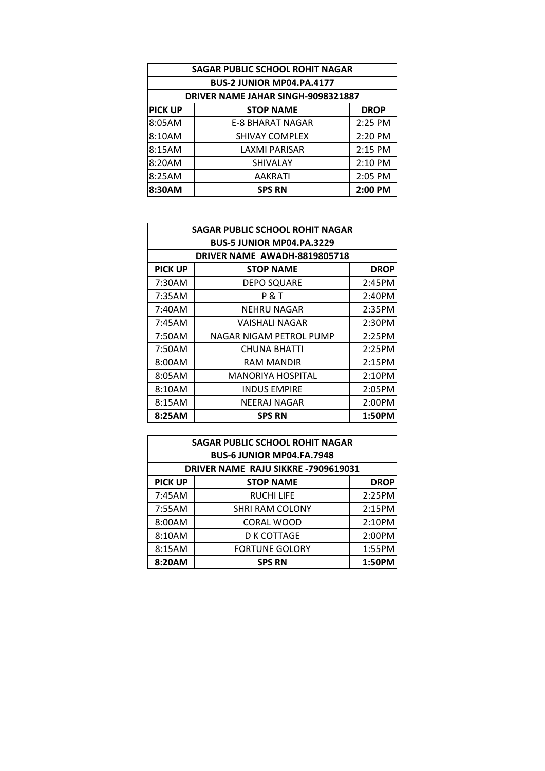| <b>SAGAR PUBLIC SCHOOL ROHIT NAGAR</b> |                                    |             |  |
|----------------------------------------|------------------------------------|-------------|--|
|                                        | BUS-2 JUNIOR MP04.PA.4177          |             |  |
|                                        | DRIVER NAME JAHAR SINGH-9098321887 |             |  |
| <b>PICK UP</b>                         | <b>STOP NAME</b>                   | <b>DROP</b> |  |
| 8:05AM                                 | <b>E-8 BHARAT NAGAR</b>            | 2:25 PM     |  |
| 8:10AM                                 | <b>SHIVAY COMPLEX</b>              | 2:20 PM     |  |
| 8:15AM                                 | <b>LAXMI PARISAR</b>               | 2:15 PM     |  |
| 8:20AM                                 | <b>SHIVALAY</b>                    | 2:10 PM     |  |
| 8:25AM                                 | <b>AAKRATI</b>                     | 2:05 PM     |  |
| 8:30AM                                 | <b>SPS RN</b>                      | 2:00 PM     |  |

| <b>SAGAR PUBLIC SCHOOL ROHIT NAGAR</b> |                                  |             |  |
|----------------------------------------|----------------------------------|-------------|--|
|                                        | <b>BUS-5 JUNIOR MP04.PA.3229</b> |             |  |
|                                        | DRIVER NAME AWADH-8819805718     |             |  |
| <b>PICK UP</b>                         | <b>STOP NAME</b>                 | <b>DROP</b> |  |
| 7:30AM                                 | <b>DEPO SQUARE</b>               | 2:45PM      |  |
| 7:35AM                                 | <b>P &amp; T</b>                 | 2:40PM      |  |
| 7:40AM                                 | NEHRU NAGAR                      | 2:35PM      |  |
| 7:45AM                                 | VAISHALI NAGAR                   | 2:30PM      |  |
| 7:50AM                                 | NAGAR NIGAM PETROL PUMP          | 2:25PM      |  |
| 7:50AM                                 | <b>CHUNA BHATTI</b>              | 2:25PM      |  |
| 8:00AM                                 | RAM MANDIR                       | 2:15PM      |  |
| 8:05AM                                 | <b>MANORIYA HOSPITAL</b>         | 2:10PM      |  |
| 8:10AM                                 | <b>INDUS EMPIRE</b>              | 2:05PM      |  |
| 8:15AM                                 | NEERAJ NAGAR                     | 2:00PM      |  |
| 8:25AM                                 | <b>SPS RN</b>                    | 1:50PM      |  |

| <b>SAGAR PUBLIC SCHOOL ROHIT NAGAR</b> |                                    |             |  |  |
|----------------------------------------|------------------------------------|-------------|--|--|
|                                        | <b>BUS-6 JUNIOR MP04.FA.7948</b>   |             |  |  |
|                                        | DRIVER NAME RAJU SIKKRE-7909619031 |             |  |  |
| <b>PICK UP</b>                         | <b>STOP NAME</b>                   | <b>DROP</b> |  |  |
| 7:45AM                                 | <b>RUCHI LIFE</b>                  | 2:25PM      |  |  |
| 7:55AM                                 | <b>SHRI RAM COLONY</b>             | 2:15PM      |  |  |
| 8:00AM                                 | CORAL WOOD                         | 2:10PM      |  |  |
| 8:10AM                                 | <b>D K COTTAGE</b>                 | 2:00PM      |  |  |
| 8:15AM                                 | <b>FORTUNE GOLORY</b>              | 1:55PM      |  |  |
| 8:20AM                                 | <b>SPS RN</b>                      | 1:50PM      |  |  |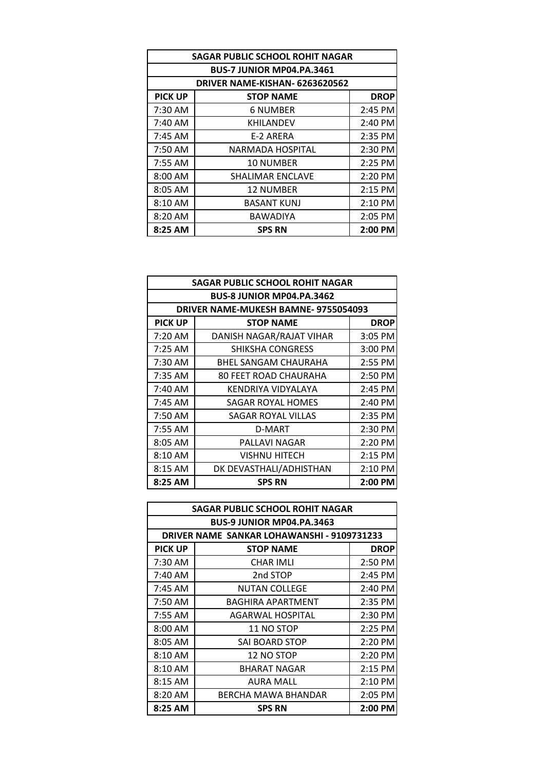| <b>SAGAR PUBLIC SCHOOL ROHIT NAGAR</b> |                                |             |
|----------------------------------------|--------------------------------|-------------|
| <b>BUS-7 JUNIOR MP04.PA.3461</b>       |                                |             |
|                                        | DRIVER NAME-KISHAN- 6263620562 |             |
| <b>PICK UP</b>                         | <b>STOP NAME</b>               | <b>DROP</b> |
| 7:30 AM                                | <b>6 NUMBER</b>                | 2:45 PM     |
| 7:40 AM                                | <b>KHILANDEV</b>               | 2:40 PM     |
| $7:45$ AM                              | E-2 ARERA                      | 2:35 PM     |
| 7:50 AM                                | NARMADA HOSPITAL               | 2:30 PM     |
| 7:55 AM                                | <b>10 NUMBER</b>               | 2:25 PM     |
| $8:00$ AM                              | <b>SHALIMAR ENCLAVE</b>        | 2:20 PM     |
| 8:05 AM                                | <b>12 NUMBER</b>               | $2:15$ PM   |
| 8:10 AM                                | <b>BASANT KUNJ</b>             | $2:10$ PM   |
| $8:20$ AM                              | <b>BAWADIYA</b>                | 2:05 PM     |
| 8:25 AM                                | <b>SPS RN</b>                  | 2:00 PM     |

| <b>SAGAR PUBLIC SCHOOL ROHIT NAGAR</b> |                                      |             |
|----------------------------------------|--------------------------------------|-------------|
| <b>BUS-8 JUNIOR MP04.PA.3462</b>       |                                      |             |
|                                        | DRIVER NAME-MUKESH BAMNE- 9755054093 |             |
| <b>PICK UP</b>                         | <b>STOP NAME</b>                     | <b>DROP</b> |
| 7:20 AM                                | DANISH NAGAR/RAJAT VIHAR             | 3:05 PM     |
| 7:25 AM                                | <b>SHIKSHA CONGRESS</b>              | $3:00$ PM   |
| 7:30 AM                                | BHEL SANGAM CHAURAHA                 | 2:55 PM     |
| 7:35 AM                                | <b>80 FEET ROAD CHAURAHA</b>         | 2:50 PM     |
| 7:40 AM                                | KENDRIYA VIDYALAYA                   | 2:45 PM     |
| 7:45 AM                                | <b>SAGAR ROYAL HOMES</b>             | 2:40 PM     |
| 7:50 AM                                | SAGAR ROYAL VILLAS                   | 2:35 PM     |
| 7:55 AM                                | D-MART                               | 2:30 PM     |
| 8:05 AM                                | PALLAVI NAGAR                        | 2:20 PM     |
| 8:10 AM                                | VISHNU HITECH                        | $2:15$ PM   |
| 8:15 AM                                | DK DEVASTHALI/ADHISTHAN              | 2:10 PM     |
| 8:25 AM                                | <b>SPS RN</b>                        | 2:00 PM     |

| SAGAR PUBLIC SCHOOL ROHIT NAGAR |                                            |             |  |
|---------------------------------|--------------------------------------------|-------------|--|
|                                 | <b>BUS-9 JUNIOR MP04.PA.3463</b>           |             |  |
|                                 | DRIVER NAME SANKAR LOHAWANSHI - 9109731233 |             |  |
| <b>PICK UP</b>                  | <b>STOP NAME</b>                           | <b>DROP</b> |  |
| 7:30 AM                         | <b>CHAR IMLI</b>                           | $2:50$ PM   |  |
| 7:40 AM                         | 2nd STOP                                   | 2:45 PM     |  |
| 7:45 AM                         | <b>NUTAN COLLEGE</b>                       | 2:40 PM     |  |
| 7:50 AM                         | BAGHIRA APARTMENT                          | 2:35 PM     |  |
| 7:55 AM                         | AGARWAL HOSPITAL                           | 2:30 PM     |  |
| 8:00 AM                         | 11 NO STOP                                 | $2:25$ PM   |  |
| 8:05 AM                         | <b>SAI BOARD STOP</b>                      | $2:20$ PM   |  |
| 8:10 AM                         | 12 NO STOP                                 | 2:20 PM     |  |
| 8:10 AM                         | BHARAT NAGAR                               | $2:15$ PM   |  |
| $8:15$ AM                       | AURA MALL                                  | $2:10$ PM   |  |
| 8:20 AM                         | BERCHA MAWA BHANDAR                        | 2:05 PM     |  |
| 8:25 AM                         | <b>SPS RN</b>                              | 2:00 PM     |  |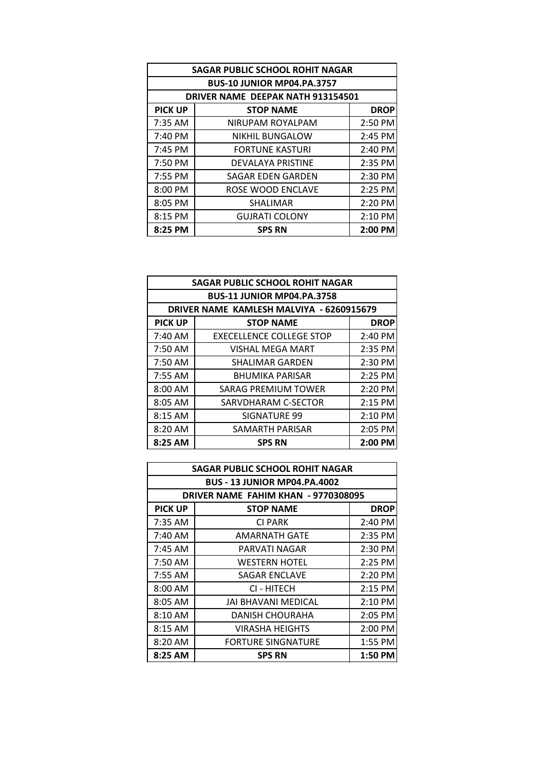| <b>SAGAR PUBLIC SCHOOL ROHIT NAGAR</b> |                                          |             |  |
|----------------------------------------|------------------------------------------|-------------|--|
|                                        | <b>BUS-10 JUNIOR MP04.PA.3757</b>        |             |  |
|                                        | <b>DRIVER NAME DEEPAK NATH 913154501</b> |             |  |
| <b>PICK UP</b>                         | <b>STOP NAME</b>                         | <b>DROP</b> |  |
| 7:35 AM                                | NIRUPAM ROYALPAM                         | 2:50 PM     |  |
| $7:40 \, \text{PM}$                    | <b>NIKHIL BUNGALOW</b>                   | 2:45 PM     |  |
| $7:45$ PM                              | <b>FORTUNE KASTURI</b>                   | 2:40 PM     |  |
| 7:50 PM                                | DEVALAYA PRISTINE                        | 2:35 PM     |  |
| 7:55 PM                                | SAGAR EDEN GARDEN                        | 2:30 PM     |  |
| 8:00 PM                                | ROSE WOOD ENCLAVE                        | $2:25$ PM   |  |
| 8:05 PM                                | SHALIMAR                                 | $2:20$ PM   |  |
| 8:15 PM                                | <b>GUJRATI COLONY</b>                    | $2:10$ PM   |  |
| 8:25 PM                                | <b>SPS RN</b>                            | 2:00 PM     |  |

| <b>SAGAR PUBLIC SCHOOL ROHIT NAGAR</b> |                                          |             |  |
|----------------------------------------|------------------------------------------|-------------|--|
|                                        | <b>BUS-11 JUNIOR MP04.PA.3758</b>        |             |  |
|                                        | DRIVER NAME KAMLESH MALVIYA - 6260915679 |             |  |
| <b>PICK UP</b>                         | <b>STOP NAME</b>                         | <b>DROP</b> |  |
| 7:40 AM                                | <b>EXECELLENCE COLLEGE STOP</b>          | 2:40 PM     |  |
| 7:50 AM                                | <b>VISHAL MEGA MART</b>                  | 2:35 PM     |  |
| 7:50 AM                                | <b>SHALIMAR GARDEN</b>                   | 2:30 PM     |  |
| 7:55 AM                                | <b>BHUMIKA PARISAR</b>                   | 2:25 PM     |  |
| 8:00 AM                                | SARAG PREMIUM TOWER                      | 2:20 PM     |  |
| 8:05 AM                                | SARVDHARAM C-SECTOR                      | 2:15 PM     |  |
| 8:15 AM                                | SIGNATURE 99                             | 2:10 PM     |  |
| 8:20 AM                                | SAMARTH PARISAR                          | 2:05 PM     |  |
| 8:25 AM                                | <b>SPS RN</b>                            | $2:00$ PM   |  |

| <b>SAGAR PUBLIC SCHOOL ROHIT NAGAR</b> |                                     |             |  |
|----------------------------------------|-------------------------------------|-------------|--|
|                                        | <b>BUS - 13 JUNIOR MP04.PA.4002</b> |             |  |
|                                        | DRIVER NAME FAHIM KHAN - 9770308095 |             |  |
| <b>PICK UP</b>                         | <b>STOP NAME</b>                    | <b>DROP</b> |  |
| 7:35 AM                                | <b>CI PARK</b>                      | 2:40 PM     |  |
| $7:40 \text{ AM}$                      | AMARNATH GATE                       | 2:35 PM     |  |
| 7:45 AM                                | PARVATI NAGAR                       | 2:30 PM     |  |
| 7:50 AM                                | WESTERN HOTEL                       | $2:25$ PM   |  |
| 7:55 AM                                | SAGAR ENCLAVE                       | 2:20 PM     |  |
| $8:00$ AM                              | CI - HITECH                         | $2:15$ PM   |  |
| 8:05 AM                                | JAI BHAVANI MEDICAL                 | $2:10$ PM   |  |
| 8:10 AM                                | DANISH CHOURAHA                     | 2:05 PM     |  |
| 8:15 AM                                | VIRASHA HEIGHTS                     | $2:00$ PM   |  |
| 8:20 AM                                | <b>FORTURE SINGNATURE</b>           | 1:55 PM     |  |
| 8:25 AM                                | <b>SPS RN</b>                       | 1:50 PM     |  |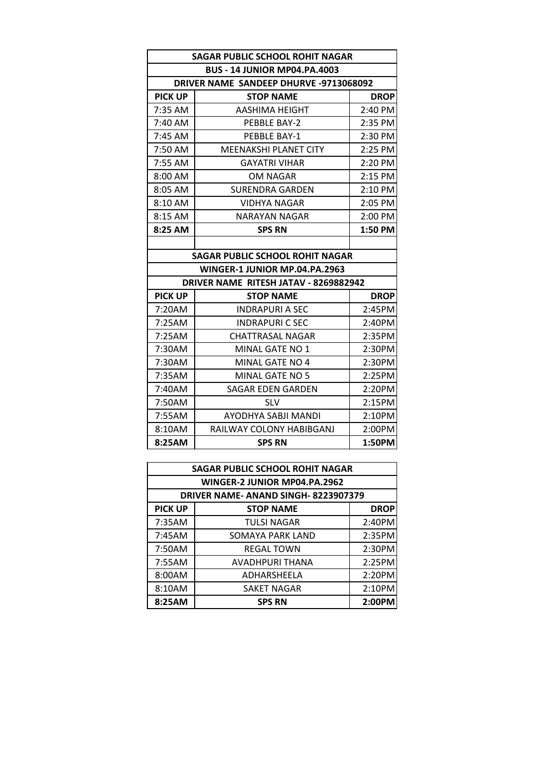| <b>SAGAR PUBLIC SCHOOL ROHIT NAGAR</b> |                                               |             |  |
|----------------------------------------|-----------------------------------------------|-------------|--|
|                                        | <b>BUS - 14 JUNIOR MP04.PA.4003</b>           |             |  |
|                                        | <b>DRIVER NAME SANDEEP DHURVE -9713068092</b> |             |  |
| <b>PICK UP</b>                         | <b>STOP NAME</b>                              | <b>DROP</b> |  |
| $7:35$ AM                              | AASHIMA HEIGHT                                | 2:40 PM     |  |
| 7:40 AM                                | PEBBLE BAY-2                                  | 2:35 PM     |  |
| 7:45 AM                                | PEBBLE BAY-1                                  | 2:30 PM     |  |
| $7:50$ AM                              | <b>MEENAKSHI PLANET CITY</b>                  | 2:25 PM     |  |
| 7:55 AM                                | <b>GAYATRI VIHAR</b>                          | 2:20 PM     |  |
| 8:00 AM                                | OM NAGAR                                      | 2:15 PM     |  |
| 8:05 AM                                | SURENDRA GARDEN                               | 2:10 PM     |  |
| 8:10 AM                                | <b>VIDHYA NAGAR</b>                           | 2:05 PM     |  |
| 8:15 AM                                | <b>NARAYAN NAGAR</b>                          | 2:00 PM     |  |
| 8:25 AM                                | <b>SPS RN</b>                                 | 1:50 PM     |  |
|                                        |                                               |             |  |
|                                        | SAGAR PUBLIC SCHOOL ROHIT NAGAR               |             |  |
|                                        | WINGER-1 JUNIOR MP.04.PA.2963                 |             |  |
|                                        | DRIVER NAME RITESH JATAV - 8269882942         |             |  |
| <b>PICK UP</b>                         | <b>STOP NAME</b>                              | <b>DROP</b> |  |
| 7:20AM                                 | <b>INDRAPURI A SEC</b>                        | 2:45PM      |  |
| 7:25AM                                 | <b>INDRAPURI C SEC</b>                        | 2:40PM      |  |
| 7:25AM                                 | <b>CHATTRASAL NAGAR</b>                       | 2:35PM      |  |
| 7:30AM                                 | <b>MINAL GATE NO 1</b>                        | 2:30PM      |  |
| 7:30AM                                 | MINAL GATE NO 4                               | 2:30PM      |  |
| 7:35AM                                 | MINAL GATE NO 5                               | 2:25PM      |  |
| 7:40AM                                 | <b>SAGAR EDEN GARDEN</b>                      | 2:20PM      |  |
| 7:50AM                                 | <b>SLV</b>                                    | 2:15PM      |  |
| 7:55AM                                 | AYODHYA SABJI MANDI                           | 2:10PM      |  |
| 8:10AM                                 | RAILWAY COLONY HABIBGANJ                      | 2:00PM      |  |
| 8:25AM                                 | <b>SPS RN</b>                                 | 1:50PM      |  |

| <b>SAGAR PUBLIC SCHOOL ROHIT NAGAR</b> |                                    |             |
|----------------------------------------|------------------------------------|-------------|
|                                        | WINGER-2 JUNIOR MP04.PA.2962       |             |
|                                        | DRIVER NAME-ANAND SINGH-8223907379 |             |
| <b>PICK UP</b>                         | <b>STOP NAME</b>                   | <b>DROP</b> |
| 7:35AM                                 | <b>TULSI NAGAR</b>                 | 2:40PM      |
| 7:45AM                                 | <b>SOMAYA PARK LAND</b>            | 2:35PM      |
| 7:50AM                                 | <b>REGAL TOWN</b>                  | 2:30PM      |
| 7:55AM                                 | AVADHPURI THANA                    | 2:25PM      |
| 8:00AM                                 | ADHARSHEELA                        | 2:20PM      |
| 8:10AM                                 | SAKET NAGAR                        | 2:10PM      |
| 8:25AM                                 | <b>SPS RN</b>                      | 2:00PM      |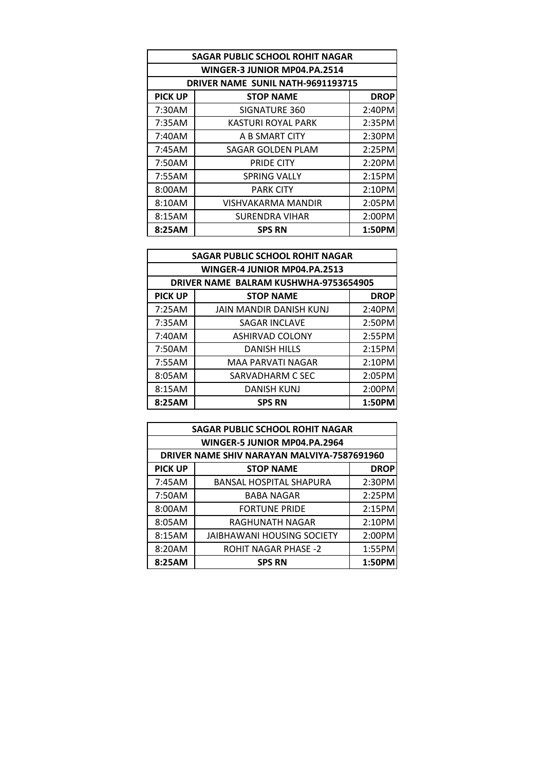| <b>SAGAR PUBLIC SCHOOL ROHIT NAGAR</b> |                                   |             |  |
|----------------------------------------|-----------------------------------|-------------|--|
|                                        | WINGER-3 JUNIOR MP04.PA.2514      |             |  |
|                                        | DRIVER NAME SUNIL NATH-9691193715 |             |  |
| <b>PICK UP</b>                         | <b>STOP NAME</b>                  | <b>DROP</b> |  |
| 7:30AM                                 | SIGNATURE 360                     | 2:40PM      |  |
| 7:35AM                                 | <b>KASTURI ROYAL PARK</b>         | 2:35PM      |  |
| 7:40AM                                 | A B SMART CITY                    | 2:30PM      |  |
| 7:45AM                                 | SAGAR GOLDEN PLAM                 | 2:25PM      |  |
| 7:50AM                                 | <b>PRIDE CITY</b>                 | 2:20PM      |  |
| 7:55AM                                 | <b>SPRING VALLY</b>               | 2:15PM      |  |
| 8:00AM                                 | <b>PARK CITY</b>                  | 2:10PM      |  |
| 8:10AM                                 | VISHVAKARMA MANDIR                | 2:05PM      |  |
| 8:15AM                                 | <b>SURENDRA VIHAR</b>             | 2:00PM      |  |
| 8:25AM                                 | <b>SPS RN</b>                     | 1:50PM      |  |

| <b>SAGAR PUBLIC SCHOOL ROHIT NAGAR</b> |                                       |        |  |
|----------------------------------------|---------------------------------------|--------|--|
|                                        | WINGER-4 JUNIOR MP04.PA.2513          |        |  |
|                                        | DRIVER NAME BALRAM KUSHWHA-9753654905 |        |  |
| <b>PICK UP</b>                         | <b>STOP NAME</b><br><b>DROP</b>       |        |  |
| 7:25AM                                 | <b>JAIN MANDIR DANISH KUNJ</b>        | 2:40PM |  |
| 7:35AM                                 | <b>SAGAR INCLAVE</b>                  | 2:50PM |  |
| 7:40AM                                 | <b>ASHIRVAD COLONY</b>                | 2:55PM |  |
| 7:50AM                                 | <b>DANISH HILLS</b>                   | 2:15PM |  |
| 7:55AM                                 | MAA PARVATI NAGAR                     | 2:10PM |  |
| 8:05AM                                 | SARVADHARM C SEC                      | 2:05PM |  |
| 8:15AM                                 | <b>DANISH KUNJ</b>                    | 2:00PM |  |
| 8:25AM                                 | <b>SPS RN</b>                         | 1:50PM |  |

| <b>SAGAR PUBLIC SCHOOL ROHIT NAGAR</b> |                                             |        |  |  |
|----------------------------------------|---------------------------------------------|--------|--|--|
|                                        | WINGER-5 JUNIOR MP04.PA.2964                |        |  |  |
|                                        | DRIVER NAME SHIV NARAYAN MALVIYA-7587691960 |        |  |  |
| <b>PICK UP</b>                         | <b>DROP</b><br><b>STOP NAME</b>             |        |  |  |
| 7:45AM                                 | <b>BANSAL HOSPITAL SHAPURA</b>              | 2:30PM |  |  |
| 7:50AM                                 | <b>BABA NAGAR</b>                           | 2:25PM |  |  |
| 8:00AM                                 | <b>FORTUNE PRIDE</b>                        | 2:15PM |  |  |
| 8:05AM                                 | RAGHUNATH NAGAR                             | 2:10PM |  |  |
| 8:15AM                                 | <b>JAIBHAWANI HOUSING SOCIETY</b>           | 2:00PM |  |  |
| 8:20AM                                 | <b>ROHIT NAGAR PHASE -2</b>                 | 1:55PM |  |  |
| 8:25AM                                 | <b>SPS RN</b>                               | 1:50PM |  |  |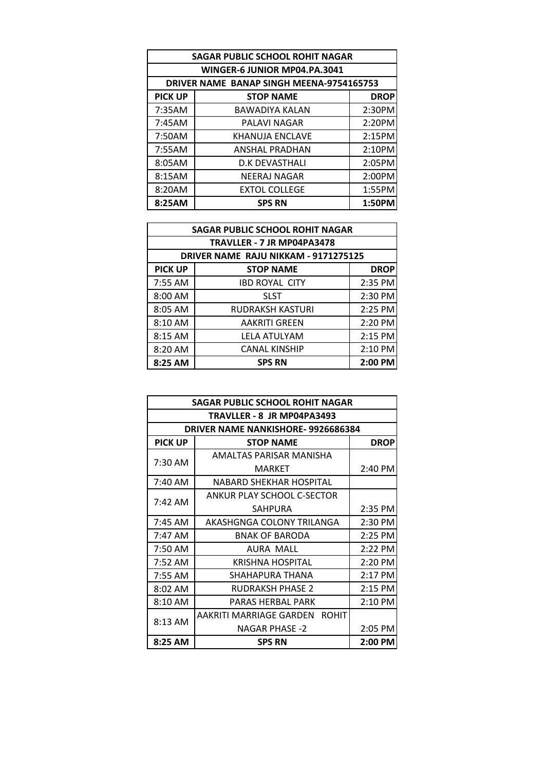| <b>SAGAR PUBLIC SCHOOL ROHIT NAGAR</b> |                                          |             |  |
|----------------------------------------|------------------------------------------|-------------|--|
|                                        | WINGER-6 JUNIOR MP04.PA.3041             |             |  |
|                                        | DRIVER NAME BANAP SINGH MEENA-9754165753 |             |  |
| <b>PICK UP</b>                         | <b>STOP NAME</b>                         | <b>DROP</b> |  |
| 7:35AM                                 | <b>BAWADIYA KALAN</b>                    | 2:30PM      |  |
| 7:45AM                                 | PALAVI NAGAR                             | 2:20PM      |  |
| 7:50AM                                 | KHANUJA ENCLAVE                          | 2:15PM      |  |
| 7:55AM                                 | <b>ANSHAL PRADHAN</b>                    | 2:10PM      |  |
| 8:05AM                                 | <b>D.K DEVASTHALI</b>                    | 2:05PM      |  |
| 8:15AM                                 | <b>NEERAJ NAGAR</b>                      | 2:00PM      |  |
| 8:20AM                                 | <b>EXTOL COLLEGE</b>                     | 1:55PM      |  |
| 8:25AM                                 | <b>SPS RN</b>                            | 1:50PM      |  |

| <b>SAGAR PUBLIC SCHOOL ROHIT NAGAR</b> |                                      |             |  |
|----------------------------------------|--------------------------------------|-------------|--|
|                                        | TRAVLLER - 7 JR MP04PA3478           |             |  |
|                                        | DRIVER NAME RAJU NIKKAM - 9171275125 |             |  |
| <b>PICK UP</b>                         | <b>STOP NAME</b>                     | <b>DROP</b> |  |
| 7:55 AM                                | <b>IBD ROYAL CITY</b>                | 2:35 PM     |  |
| 8:00 AM                                | <b>SLST</b>                          | 2:30 PM     |  |
| 8:05 AM                                | <b>RUDRAKSH KASTURI</b>              | 2:25 PM     |  |
| 8:10 AM                                | <b>AAKRITI GREEN</b>                 | 2:20 PM     |  |
| $8:15$ AM                              | LELA ATULYAM                         | 2:15 PM     |  |
| 8:20 AM                                | <b>CANAL KINSHIP</b>                 | 2:10 PM     |  |
| 8:25 AM                                | <b>SPS RN</b>                        | $2:00$ PM   |  |

|                                          | SAGAR PUBLIC SCHOOL ROHIT NAGAR |  |  |
|------------------------------------------|---------------------------------|--|--|
| TRAVLLER - 8 JR MP04PA3493               |                                 |  |  |
| <b>DRIVER NAME NANKISHORE-9926686384</b> |                                 |  |  |
| <b>PICK UP</b><br><b>STOP NAME</b>       | <b>DROP</b>                     |  |  |
| AMALTAS PARISAR MANISHA                  |                                 |  |  |
| 7:30 AM<br><b>MARKET</b>                 | 2:40 PM                         |  |  |
| 7:40 AM<br>NABARD SHEKHAR HOSPITAL       |                                 |  |  |
| ANKUR PLAY SCHOOL C-SECTOR               |                                 |  |  |
| $7:42 \text{ AM}$<br><b>SAHPURA</b>      | $2:35$ PM                       |  |  |
| AKASHGNGA COLONY TRILANGA<br>$7:45$ AM   | 2:30 PM                         |  |  |
| 7:47 AM<br><b>BNAK OF BARODA</b>         | $2:25$ PM                       |  |  |
| 7:50 AM<br>AURA MALL                     | 2:22 PM                         |  |  |
| <b>KRISHNA HOSPITAL</b><br>7:52 AM       | 2:20 PM                         |  |  |
| 7:55 AM<br>SHAHAPURA THANA               | $2:17$ PM                       |  |  |
| 8:02 AM<br><b>RUDRAKSH PHASE 2</b>       | $2:15$ PM                       |  |  |
| $8:10 \text{ AM}$<br>PARAS HERBAL PARK   | $2:10$ PM                       |  |  |
| AAKRITI MARRIAGE GARDEN ROHIT            |                                 |  |  |
| $8:13$ AM<br><b>NAGAR PHASE -2</b>       | $2:05$ PM                       |  |  |
| 8:25 AM<br><b>SPS RN</b>                 | $2:00$ PM                       |  |  |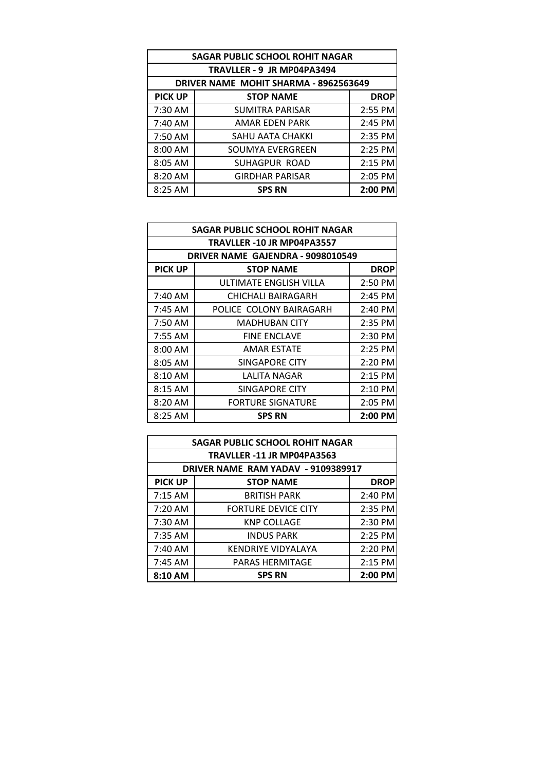| <b>SAGAR PUBLIC SCHOOL ROHIT NAGAR</b> |                                       |             |  |
|----------------------------------------|---------------------------------------|-------------|--|
|                                        | TRAVLLER - 9 JR MP04PA3494            |             |  |
|                                        | DRIVER NAME MOHIT SHARMA - 8962563649 |             |  |
| <b>PICK UP</b>                         | <b>STOP NAME</b>                      | <b>DROP</b> |  |
| 7:30 AM                                | <b>SUMITRA PARISAR</b>                | 2:55 PM     |  |
| 7:40 AM                                | <b>AMAR EDEN PARK</b>                 | 2:45 PM     |  |
| 7:50 AM                                | <b>SAHU AATA CHAKKI</b>               | 2:35 PM     |  |
| 8:00 AM                                | SOUMYA EVERGREEN                      | 2:25 PM     |  |
| 8:05 AM                                | SUHAGPUR ROAD                         | 2:15 PM     |  |
| 8:20 AM                                | <b>GIRDHAR PARISAR</b>                | 2:05 PM     |  |
| 8:25 AM                                | <b>SPS RN</b>                         | $2:00$ PM   |  |

| <b>SAGAR PUBLIC SCHOOL ROHIT NAGAR</b> |                                   |             |  |
|----------------------------------------|-----------------------------------|-------------|--|
| TRAVLLER -10 JR MP04PA3557             |                                   |             |  |
|                                        | DRIVER NAME GAJENDRA - 9098010549 |             |  |
| <b>PICK UP</b>                         | <b>STOP NAME</b>                  | <b>DROP</b> |  |
|                                        | ULTIMATE ENGLISH VILLA            | 2:50 PM     |  |
| 7:40 AM                                | CHICHALI BAIRAGARH                | 2:45 PM     |  |
| 7:45 AM                                | POLICE COLONY BAIRAGARH           | 2:40 PM     |  |
| 7:50 AM                                | <b>MADHUBAN CITY</b>              | 2:35 PM     |  |
| 7:55 AM                                | <b>FINE ENCLAVE</b>               | 2:30 PM     |  |
| 8:00 AM                                | <b>AMAR ESTATE</b>                | 2:25 PM     |  |
| 8:05 AM                                | SINGAPORE CITY                    | 2:20 PM     |  |
| 8:10 AM                                | LALITA NAGAR                      | $2:15$ PM   |  |
| $8:15$ AM                              | SINGAPORE CITY                    | $2:10$ PM   |  |
| 8:20 AM                                | <b>FORTURE SIGNATURE</b>          | 2:05 PM     |  |
| 8:25 AM                                | <b>SPS RN</b>                     | 2:00 PM     |  |

| <b>SAGAR PUBLIC SCHOOL ROHIT NAGAR</b> |                                    |             |
|----------------------------------------|------------------------------------|-------------|
|                                        | TRAVLLER -11 JR MP04PA3563         |             |
|                                        | DRIVER NAME RAM YADAV - 9109389917 |             |
| <b>PICK UP</b>                         | <b>STOP NAME</b>                   | <b>DROP</b> |
| 7:15 AM                                | <b>BRITISH PARK</b>                | 2:40 PM     |
| 7:20 AM                                | <b>FORTURE DEVICE CITY</b>         | 2:35 PM     |
| 7:30 AM                                | <b>KNP COLLAGE</b>                 | 2:30 PM     |
| 7:35 AM                                | <b>INDUS PARK</b>                  | 2:25 PM     |
| 7:40 AM                                | <b>KENDRIYE VIDYALAYA</b>          | 2:20 PM     |
| 7:45 AM                                | <b>PARAS HERMITAGE</b>             | 2:15 PM     |
| 8:10 AM                                | <b>SPS RN</b>                      | 2:00 PM     |